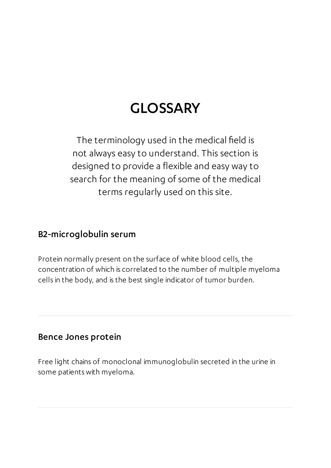# GLOSSARY

The terminology used in the medical field is not always easy to understand. This section is designed to provide a flexible and easy way to search for the meaning of some of the medical terms regularly used on this site.

#### B2-microglobulin serum

Protein normally present on the surface of white blood cells, the concentration of which is correlated to the number of multiple myeloma cells in the body, and is the best single indicator of tumor burden.

#### Bence Jones protein

Free light chains of monoclonal immunoglobulin secreted in the urine in some patients with myeloma.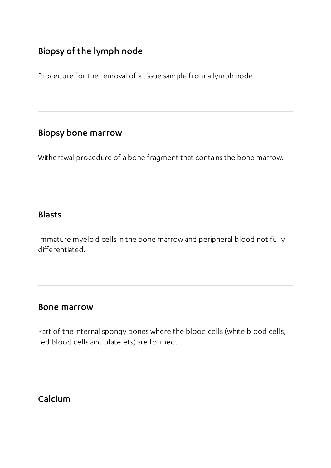### Biopsy of the lymph node

Procedure for the removal of a tissue sample from a lymph node.

#### Biopsy bone marrow

Withdrawal procedure of a bone fragment that contains the bone marrow.

#### Blasts

Immature myeloid cells in the bone marrow and peripheral blood not fully differentiated.

#### Bone marrow

Part of the internal spongy bones where the blood cells (white blood cells, red blood cells and platelets) are formed.

### Calcium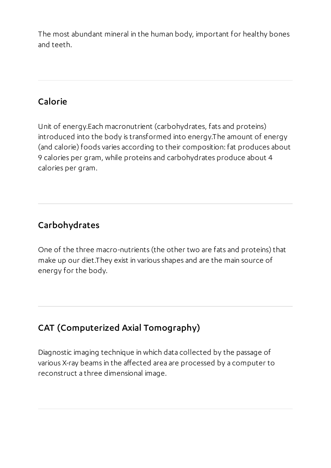The most abundant mineral in the human body, important for healthy bones and teeth.

### Calorie

Unit of energy.Each macronutrient (carbohydrates, fats and proteins) introduced into the body is transformed into energy.The amount of energy (and calorie) foods varies according to their composition: fat produces about 9 calories per gram, while proteins and carbohydrates produce about 4 calories per gram.

### Carbohydrates

One of the three macro-nutrients (the other two are fats and proteins) that make up our diet.They exist in various shapes and are the main source of energy for the body.

# CAT (Computerized Axial Tomography)

Diagnostic imaging technique in which data collected by the passage of various X-ray beams in the affected area are processed by a computer to reconstruct a three dimensional image.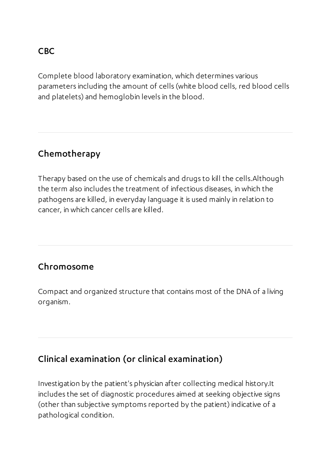#### CBC

Complete blood laboratory examination, which determines various parameters including the amount of cells (white blood cells, red blood cells and platelets) and hemoglobin levels in the blood.

### Chemotherapy

Therapy based on the use of chemicals and drugs to kill the cells.Although the term also includes the treatment of infectious diseases, in which the pathogens are killed, in everyday language it is used mainly in relation to cancer, in which cancer cells are killed.

#### Chromosome

Compact and organized structure that contains most of the DNA of a living organism.

### Clinical examination (or clinical examination)

Investigation by the patient's physician after collecting medical history.It includes the set of diagnostic procedures aimed at seeking objective signs (other than subjective symptoms reported by the patient) indicative of a pathological condition.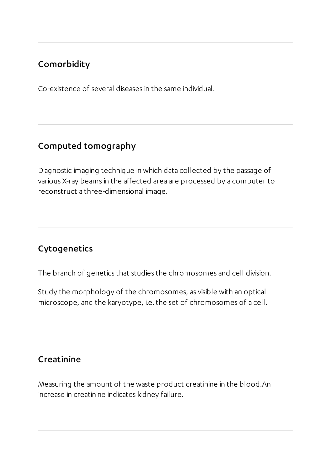### Comorbidity

Co-existence of several diseases in the same individual.

### Computed tomography

Diagnostic imaging technique in which data collected by the passage of various X-ray beams in the affected area are processed by a computer to reconstruct a three-dimensional image.

# Cytogenetics

The branch of genetics that studies the chromosomes and cell division.

Study the morphology of the chromosomes, as visible with an optical microscope, and the karyotype, i.e. the set of chromosomes of a cell.

### Creatinine

Measuring the amount of the waste product creatinine in the blood.An increase in creatinine indicates kidney failure.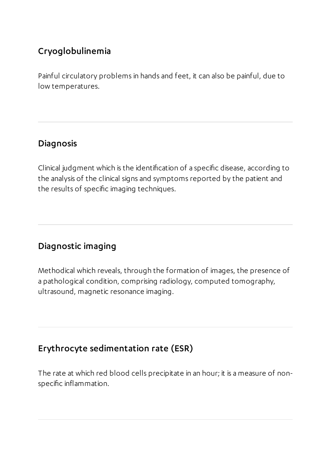# Cryoglobulinemia

Painful circulatory problems in hands and feet, it can also be painful, due to low temperatures.

### Diagnosis

Clinical judgment which is the identification of a specific disease, according to the analysis of the clinical signs and symptoms reported by the patient and the results of specific imaging techniques.

# Diagnostic imaging

Methodical which reveals, through the formation of images, the presence of a pathological condition, comprising radiology, computed tomography, ultrasound, magnetic resonance imaging.

# Erythrocyte sedimentation rate (ESR)

The rate at which red blood cells precipitate in an hour; it is a measure of nonspecific inflammation.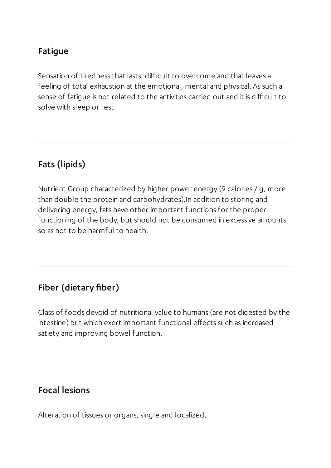### Fatigue

Sensation of tiredness that lasts, difficult to overcome and that leaves a feeling of total exhaustion at the emotional, mental and physical. As such a sense of fatigue is not related to the activities carried out and it is difficult to solve with sleep or rest.

### Fats(lipids)

Nutrient Group characterized by higher power energy (9 calories / g, more than double the protein and carbohydrates).In addition to storing and delivering energy, fats have other important functions for the proper functioning of the body, but should not be consumed in excessive amounts so as not to be harmful to health.

### Fiber (dietary fiber)

Class of foods devoid of nutritional value to humans (are not digested by the intestine) but which exert important functional effects such as increased satiety and improving bowel function.

#### Focal lesions

Alteration of tissues or organs, single and localized.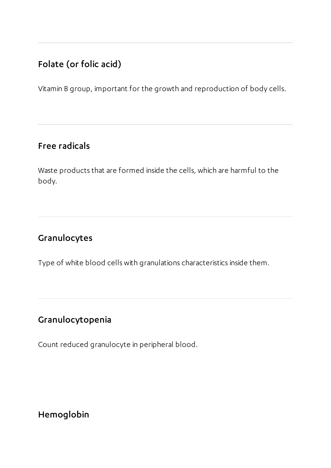# Folate (or folic acid)

Vitamin B group, important for the growth and reproduction of body cells.

#### Free radicals

Waste products that are formed inside the cells, which are harmful to the body.

### Granulocytes

Type of white blood cells with granulations characteristics inside them.

# Granulocytopenia

Count reduced granulocyte in peripheral blood.

Hemoglobin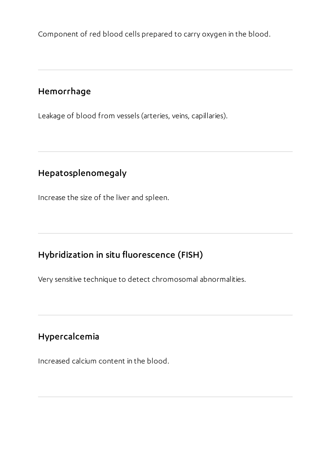Component of red blood cells prepared to carry oxygen in the blood.

### Hemorrhage

Leakage of blood from vessels (arteries, veins, capillaries).

# Hepatosplenomegaly

Increase the size of the liver and spleen.

# Hybridization in situ fluorescence (FISH)

Very sensitive technique to detect chromosomal abnormalities.

### Hypercalcemia

Increased calcium content in the blood.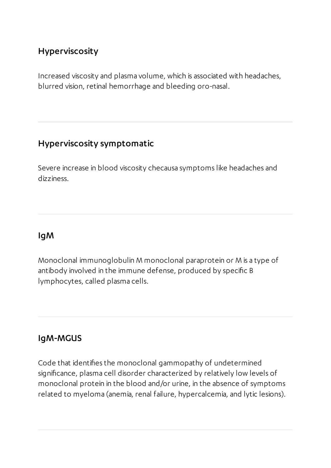### Hyperviscosity

Increased viscosity and plasma volume, which is associated with headaches, blurred vision, retinal hemorrhage and bleeding oro-nasal.

#### Hyperviscosity symptomatic

Severe increase in blood viscosity checausa symptoms like headaches and dizziness.

#### IgM

Monoclonal immunoglobulin M monoclonal paraprotein or M is a type of antibody involved in the immune defense, produced by specific B lymphocytes, called plasma cells.

#### IgM-MGUS

Code that identifies the monoclonal gammopathy of undetermined significance, plasma cell disorder characterized by relatively low levels of monoclonal protein in the blood and/or urine, in the absence of symptoms related to myeloma (anemia, renal failure, hypercalcemia, and lytic lesions).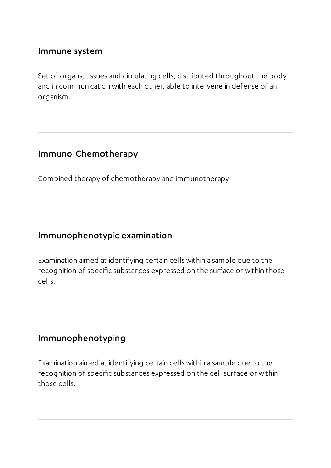#### Immune system

Set of organs, tissues and circulating cells, distributed throughout the body and in communication with each other, able to intervene in defense of an organism.

#### Immuno-Chemotherapy

Combined therapy of chemotherapy and immunotherapy

#### Immunophenotypic examination

Examination aimed at identifying certain cells within a sample due to the recognition of specific substances expressed on the surface or within those cells.

#### Immunophenotyping

Examination aimed at identifying certain cells within a sample due to the recognition of specific substances expressed on the cell surface or within those cells.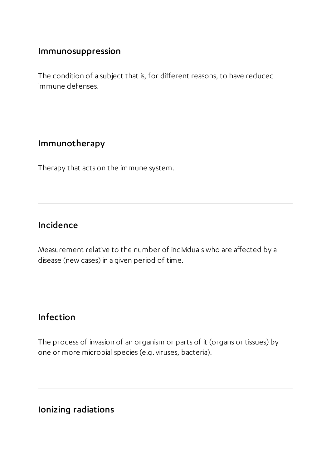#### Immunosuppression

The condition of a subject that is, for different reasons, to have reduced immune defenses.

#### Immunotherapy

Therapy that acts on the immune system.

#### Incidence

Measurement relative to the number of individuals who are affected by a disease (new cases) in a given period of time.

### Infection

The process of invasion of an organism or parts of it (organs or tissues) by one or more microbial species (e.g. viruses, bacteria).

#### Ionizing radiations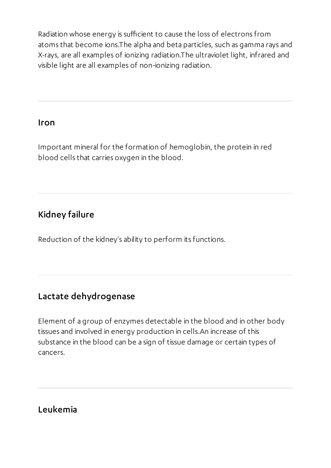Radiation whose energy is sufficient to cause the loss of electrons from atoms that become ions.The alpha and beta particles, such as gamma rays and X-rays, are all examples of ionizing radiation.The ultraviolet light, infrared and visible light are all examples of non-ionizing radiation.

#### Iron

Important mineral for the formation of hemoglobin, the protein in red blood cells that carries oxygen in the blood.

### Kidney failure

Reduction of the kidney's ability to perform its functions.

### Lactate dehydrogenase

Element of a group of enzymes detectable in the blood and in other body tissues and involved in energy production in cells.An increase of this substance in the blood can be a sign of tissue damage or certain types of cancers.

#### Leukemia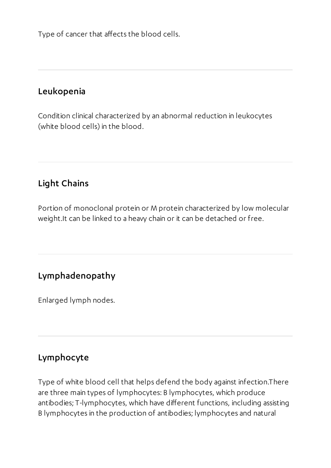Type of cancer that affects the blood cells.

#### Leukopenia

Condition clinical characterized by an abnormal reduction in leukocytes (white blood cells) in the blood.

### Light Chains

Portion of monoclonal protein or M protein characterized by low molecular weight.It can be linked to a heavy chain or it can be detached or free.

#### Lymphadenopathy

Enlarged lymph nodes.

#### Lymphocyte

Type of white blood cell that helps defend the body against infection.There are three main types of lymphocytes: B lymphocytes, which produce antibodies; T-lymphocytes, which have different functions, including assisting B lymphocytes in the production of antibodies; lymphocytes and natural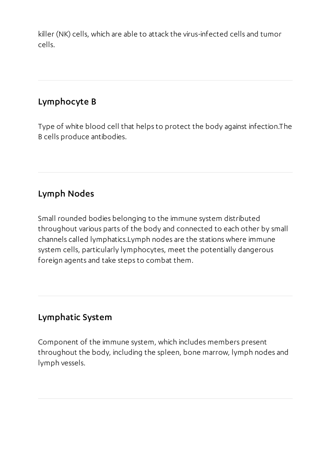killer (NK) cells, which are able to attack the virus-infected cells and tumor cells.

### Lymphocyte B

Type of white blood cell that helps to protect the body against infection.The B cells produce antibodies.

# Lymph Nodes

Small rounded bodies belonging to the immune system distributed throughout various parts of the body and connected to each other by small channels called lymphatics.Lymph nodes are the stations where immune system cells, particularly lymphocytes, meet the potentially dangerous foreign agents and take steps to combat them.

# Lymphatic System

Component of the immune system, which includes members present throughout the body, including the spleen, bone marrow, lymph nodes and lymph vessels.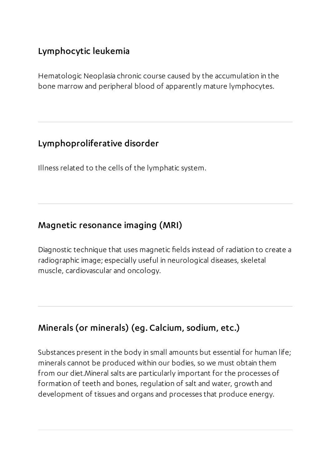# Lymphocytic leukemia

Hematologic Neoplasia chronic course caused by the accumulation in the bone marrow and peripheral blood of apparently mature lymphocytes.

#### Lymphoproliferative disorder

Illness related to the cells of the lymphatic system.

### Magnetic resonance imaging (MRI)

Diagnostic technique that uses magnetic fields instead of radiation to create a radiographic image; especially useful in neurological diseases, skeletal muscle, cardiovascular and oncology.

# Minerals(or minerals) (eg. Calcium, sodium, etc.)

Substances present in the body in small amounts but essential for human life; minerals cannot be produced within our bodies, so we must obtain them from our diet.Mineral salts are particularly important for the processes of formation of teeth and bones, regulation of salt and water, growth and development of tissues and organs and processes that produce energy.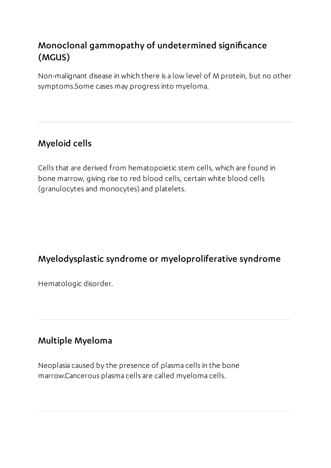# Monoclonal gammopathy of undetermined significance (MGUS)

Non-malignant disease in which there is a low level of M protein, but no other symptoms.Some cases may progress into myeloma.

# Myeloid cells

Cells that are derived from hematopoietic stem cells, which are found in bone marrow, giving rise to red blood cells, certain white blood cells (granulocytes and monocytes) and platelets.

### Myelodysplastic syndrome or myeloproliferative syndrome

Hematologic disorder.

#### Multiple Myeloma

Neoplasia caused by the presence of plasma cells in the bone marrow.Cancerous plasma cells are called myeloma cells.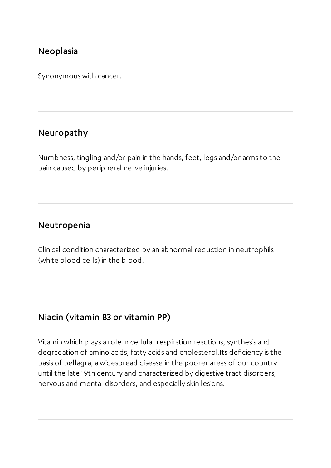#### Neoplasia

Synonymous with cancer.

#### Neuropathy

Numbness, tingling and/or pain in the hands, feet, legs and/or arms to the pain caused by peripheral nerve injuries.

#### Neutropenia

Clinical condition characterized by an abnormal reduction in neutrophils (white blood cells) in the blood.

#### Niacin (vitamin B3 or vitamin PP)

Vitamin which plays a role in cellular respiration reactions, synthesis and degradation of amino acids, fatty acids and cholesterol.Its deficiency is the basis of pellagra, a widespread disease in the poorer areas of our country until the late 19th century and characterized by digestive tract disorders, nervous and mental disorders, and especially skin lesions.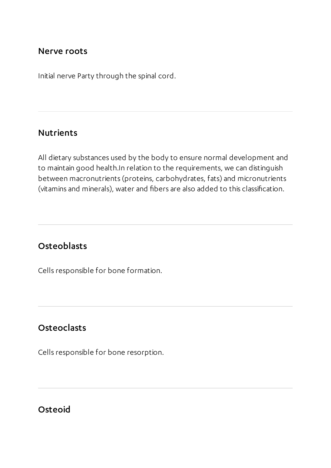#### Nerve roots

Initial nerve Party through the spinal cord.

#### Nutrients

All dietary substances used by the body to ensure normal development and to maintain good health.In relation to the requirements, we can distinguish between macronutrients (proteins, carbohydrates, fats) and micronutrients (vitamins and minerals), water and fibers are also added to this classification.

#### **Osteoblasts**

Cells responsible for bone formation.

#### **Osteoclasts**

Cells responsible for bone resorption.

Osteoid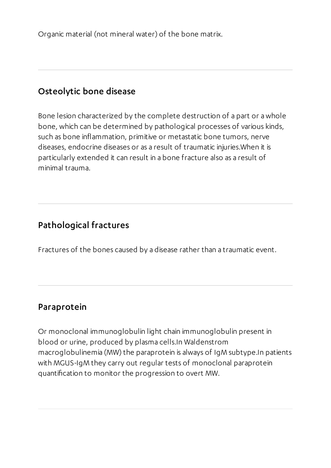Organic material (not mineral water) of the bone matrix.

#### Osteolytic bone disease

Bone lesion characterized by the complete destruction of a part or a whole bone, which can be determined by pathological processes of various kinds, such as bone inflammation, primitive or metastatic bone tumors, nerve diseases, endocrine diseases or as a result of traumatic injuries.When it is particularly extended it can result in a bone fracture also as a result of minimal trauma.

#### Pathological fractures

Fractures of the bones caused by a disease rather than a traumatic event.

#### Paraprotein

Or monoclonal immunoglobulin light chain immunoglobulin present in blood or urine, produced by plasma cells.In Waldenstrom macroglobulinemia (MW) the paraprotein is always of IgM subtype.In patients with MGUS-IgM they carry out regular tests of monoclonal paraprotein quantification to monitor the progression to overt MW.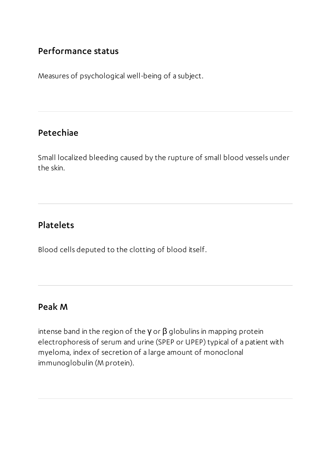#### Performance status

Measures of psychological well-being of a subject.

#### Petechiae

Small localized bleeding caused by the rupture of small blood vessels under the skin.

### Platelets

Blood cells deputed to the clotting of blood itself.

#### Peak M

intense band in the region of the  $γ$  or  $β$  globulins in mapping protein electrophoresis of serum and urine (SPEP or UPEP) typical of a patient with myeloma, index of secretion of a large amount of monoclonal immunoglobulin (M protein).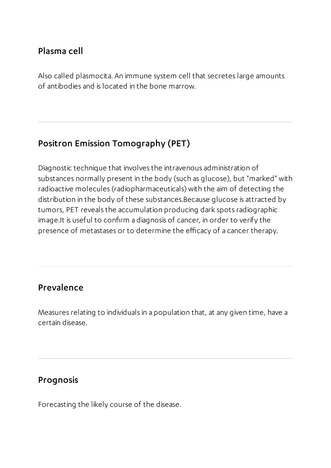#### Plasma cell

Also called plasmocita. An immune system cell that secretes large amounts of antibodies and is located in the bone marrow.

### Positron Emission Tomography (PET)

Diagnostic technique that involves the intravenous administration of substances normally present in the body (such as glucose), but "marked" with radioactive molecules (radiopharmaceuticals) with the aim of detecting the distribution in the body of these substances.Because glucose is attracted by tumors, PET reveals the accumulation producing dark spots radiographic image.It is useful to confirm a diagnosis of cancer, in order to verify the presence of metastases or to determine the efficacy of a cancer therapy.

### Prevalence

Measures relating to individuals in a population that, at any given time, have a certain disease.

#### Prognosis

Forecasting the likely course of the disease.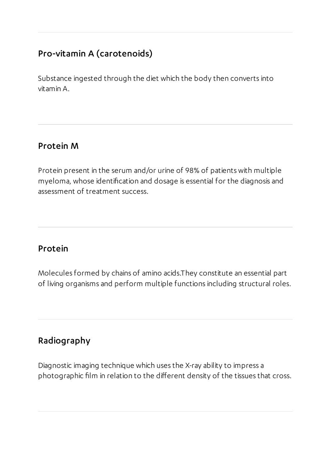### Pro-vitamin A (carotenoids)

Substance ingested through the diet which the body then converts into vitamin A.

#### Protein M

Protein present in the serum and/or urine of 98% of patients with multiple myeloma, whose identification and dosage is essential for the diagnosis and assessment of treatment success.

#### Protein

Molecules formed by chains of amino acids.They constitute an essential part of living organisms and perform multiple functions including structural roles.

# Radiography

Diagnostic imaging technique which uses the X-ray ability to impress a photographic film in relation to the different density of the tissues that cross.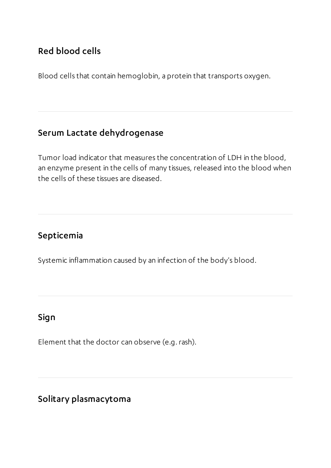### Red blood cells

Blood cells that contain hemoglobin, a protein that transports oxygen.

### Serum Lactate dehydrogenase

Tumor load indicator that measures the concentration of LDH in the blood, an enzyme present in the cells of many tissues, released into the blood when the cells of these tissues are diseased.

### Septicemia

Systemic inflammation caused by an infection of the body's blood.

### Sign

Element that the doctor can observe (e.g.rash).

### Solitary plasmacytoma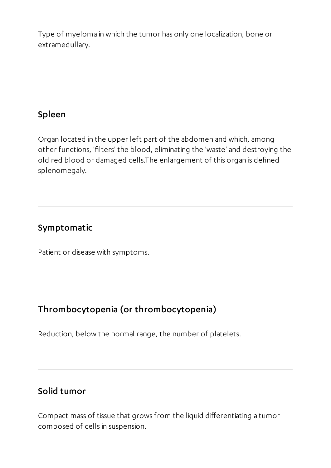Type of myeloma in which the tumor has only one localization, bone or extramedullary.

### Spleen

Organ located in the upper left part of the abdomen and which, among other functions, 'filters' the blood, eliminating the 'waste' and destroying the old red blood or damaged cells.The enlargement of this organ is defined splenomegaly.

#### Symptomatic

Patient or disease with symptoms.

# Thrombocytopenia (or thrombocytopenia)

Reduction, below the normal range, the number of platelets.

### Solid tumor

Compact mass of tissue that grows from the liquid differentiating a tumor composed of cells in suspension.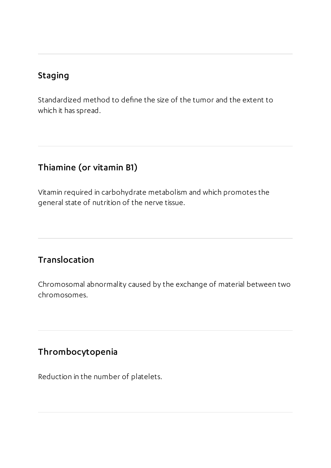### Staging

Standardized method to define the size of the tumor and the extent to which it has spread.

### Thiamine (or vitamin B1)

Vitamin required in carbohydrate metabolism and which promotes the general state of nutrition of the nerve tissue.

### Translocation

Chromosomal abnormality caused by the exchange of material between two chromosomes.

### Thrombocytopenia

Reduction in the number of platelets.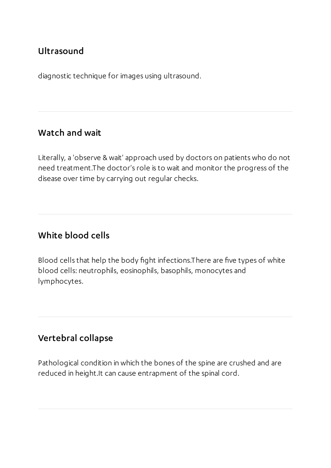### Ultrasound

diagnostic technique for images using ultrasound.

#### Watch and wait

Literally, a 'observe & wait' approach used by doctors on patients who do not need treatment.The doctor's role is to wait and monitor the progress of the disease over time by carrying out regular checks.

#### White blood cells

Blood cells that help the body fight infections.There are five types of white blood cells: neutrophils, eosinophils, basophils, monocytes and lymphocytes.

#### Vertebral collapse

Pathological condition in which the bones of the spine are crushed and are reduced in height.It can cause entrapment of the spinal cord.